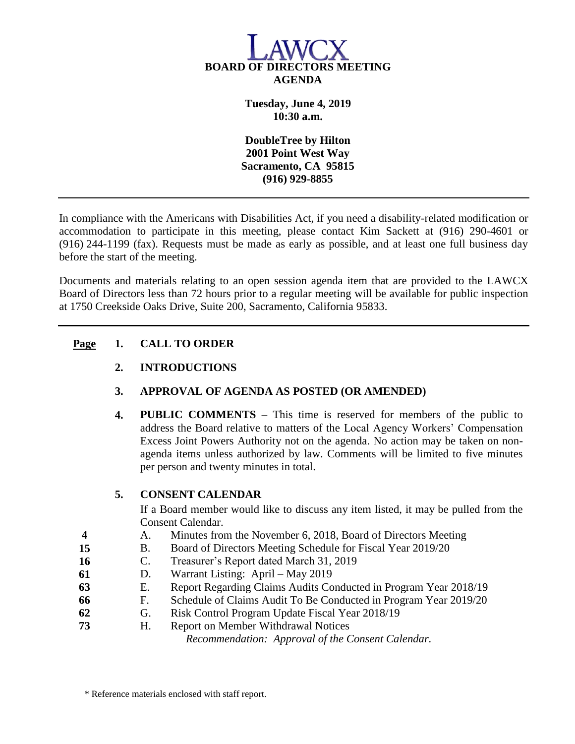

**Tuesday, June 4, 2019 10:30 a.m.**

**DoubleTree by Hilton 2001 Point West Way Sacramento, CA 95815 (916) 929-8855**

In compliance with the Americans with Disabilities Act, if you need a disability-related modification or accommodation to participate in this meeting, please contact Kim Sackett at (916) 290-4601 or (916) 244-1199 (fax). Requests must be made as early as possible, and at least one full business day before the start of the meeting.

Documents and materials relating to an open session agenda item that are provided to the LAWCX Board of Directors less than 72 hours prior to a regular meeting will be available for public inspection at 1750 Creekside Oaks Drive, Suite 200, Sacramento, California 95833.

# **Page 1. CALL TO ORDER**

- **2. INTRODUCTIONS**
- **3. APPROVAL OF AGENDA AS POSTED (OR AMENDED)**
- **4. PUBLIC COMMENTS** This time is reserved for members of the public to address the Board relative to matters of the Local Agency Workers' Compensation Excess Joint Powers Authority not on the agenda. No action may be taken on nonagenda items unless authorized by law. Comments will be limited to five minutes per person and twenty minutes in total.

# **5. CONSENT CALENDAR**

If a Board member would like to discuss any item listed, it may be pulled from the Consent Calendar.

- **4** A. Minutes from the November 6, 2018, Board of Directors Meeting
- **15** B. Board of Directors Meeting Schedule for Fiscal Year 2019/20
- **16** C. Treasurer's Report dated March 31, 2019
- **61** D. Warrant Listing: April May 2019
- **63** E. Report Regarding Claims Audits Conducted in Program Year 2018/19
- **66** F. Schedule of Claims Audit To Be Conducted in Program Year 2019/20
- **62** G. Risk Control Program Update Fiscal Year 2018/19
- **73** H. Report on Member Withdrawal Notices

*Recommendation: Approval of the Consent Calendar.*

\* Reference materials enclosed with staff report.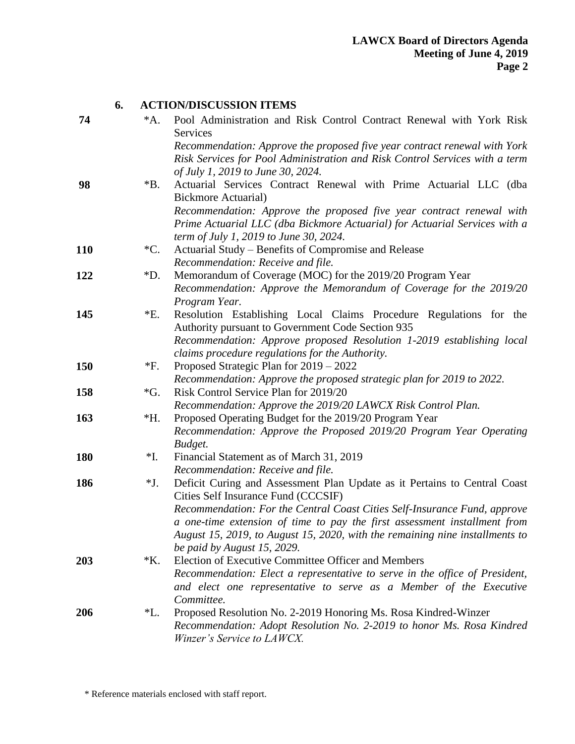|            | 6. |                 | <b>ACTION/DISCUSSION ITEMS</b>                                                                                                           |
|------------|----|-----------------|------------------------------------------------------------------------------------------------------------------------------------------|
| 74         |    | $^*A.$          | Pool Administration and Risk Control Contract Renewal with York Risk                                                                     |
|            |    |                 | Services                                                                                                                                 |
|            |    |                 | Recommendation: Approve the proposed five year contract renewal with York                                                                |
|            |    |                 | Risk Services for Pool Administration and Risk Control Services with a term                                                              |
|            |    |                 | of July 1, 2019 to June 30, 2024.                                                                                                        |
| 98         |    | $*B.$           | Actuarial Services Contract Renewal with Prime Actuarial LLC (dba                                                                        |
|            |    |                 | <b>Bickmore Actuarial</b> )                                                                                                              |
|            |    |                 | Recommendation: Approve the proposed five year contract renewal with                                                                     |
|            |    |                 | Prime Actuarial LLC (dba Bickmore Actuarial) for Actuarial Services with a                                                               |
|            |    |                 | term of July 1, 2019 to June 30, 2024.                                                                                                   |
| <b>110</b> |    | $^{\ast}C.$     | Actuarial Study - Benefits of Compromise and Release                                                                                     |
|            |    |                 | Recommendation: Receive and file.                                                                                                        |
| 122        |    | $*D.$           | Memorandum of Coverage (MOC) for the 2019/20 Program Year                                                                                |
|            |    |                 | Recommendation: Approve the Memorandum of Coverage for the 2019/20                                                                       |
|            |    |                 | Program Year.                                                                                                                            |
| 145        |    | $E$ .           | Resolution Establishing Local Claims Procedure Regulations for the                                                                       |
|            |    |                 | Authority pursuant to Government Code Section 935<br>Recommendation: Approve proposed Resolution 1-2019 establishing local               |
|            |    |                 | claims procedure regulations for the Authority.                                                                                          |
| <b>150</b> |    | *F.             | Proposed Strategic Plan for 2019 – 2022                                                                                                  |
|            |    |                 | Recommendation: Approve the proposed strategic plan for 2019 to 2022.                                                                    |
| 158        |    | $\mathcal{G}$ . | Risk Control Service Plan for 2019/20                                                                                                    |
|            |    |                 | Recommendation: Approve the 2019/20 LAWCX Risk Control Plan.                                                                             |
| 163        |    | $*H.$           | Proposed Operating Budget for the 2019/20 Program Year                                                                                   |
|            |    |                 | Recommendation: Approve the Proposed 2019/20 Program Year Operating                                                                      |
|            |    |                 | Budget.                                                                                                                                  |
| <b>180</b> |    | *I.             | Financial Statement as of March 31, 2019                                                                                                 |
|            |    |                 | Recommendation: Receive and file.                                                                                                        |
| 186        |    | $*J.$           | Deficit Curing and Assessment Plan Update as it Pertains to Central Coast                                                                |
|            |    |                 | Cities Self Insurance Fund (CCCSIF)                                                                                                      |
|            |    |                 | Recommendation: For the Central Coast Cities Self-Insurance Fund, approve                                                                |
|            |    |                 | a one-time extension of time to pay the first assessment installment from                                                                |
|            |    |                 | August 15, 2019, to August 15, 2020, with the remaining nine installments to                                                             |
|            |    |                 | be paid by August 15, 2029.                                                                                                              |
| 203        |    | $*K$ .          | Election of Executive Committee Officer and Members                                                                                      |
|            |    |                 | Recommendation: Elect a representative to serve in the office of President,                                                              |
|            |    |                 | and elect one representative to serve as a Member of the Executive                                                                       |
|            |    |                 | Committee.                                                                                                                               |
| 206        |    | *L.             | Proposed Resolution No. 2-2019 Honoring Ms. Rosa Kindred-Winzer<br>Recommendation: Adopt Resolution No. 2-2019 to honor Ms. Rosa Kindred |
|            |    |                 | Winzer's Service to LAWCX.                                                                                                               |
|            |    |                 |                                                                                                                                          |

**6. ACTION/DISCUSSION ITEMS**

\* Reference materials enclosed with staff report.